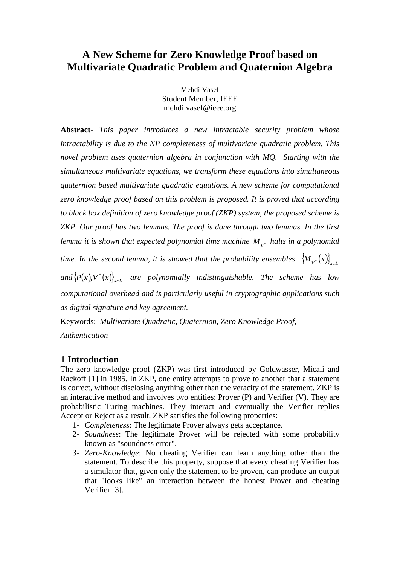# **A New Scheme for Zero Knowledge Proof based on Multivariate Quadratic Problem and Quaternion Algebra**

Mehdi Vasef Student Member, IEEE mehdi.vasef@ieee.org

**Abstract**- *This paper introduces a new intractable security problem whose intractability is due to the NP completeness of multivariate quadratic problem. This novel problem uses quaternion algebra in conjunction with MQ. Starting with the simultaneous multivariate equations, we transform these equations into simultaneous quaternion based multivariate quadratic equations. A new scheme for computational zero knowledge proof based on this problem is proposed. It is proved that according to black box definition of zero knowledge proof (ZKP) system, the proposed scheme is ZKP. Our proof has two lemmas. The proof is done through two lemmas. In the first lemma it is shown that expected polynomial time machine*  $M_{v^*}$  *halts in a polynomial*  $V^*$  *liences in a portraitive. halts in a polynomial time. In the second lemma, it is showed that the probability ensembles*  $\{M_{V^*}(x)\}_{x \in I}$  $M_{V^*}(x)\$  $(x)$ }  $and \{P(x), V^*(x)\}_{x \in L}$  are polynomially indistinguishable. The scheme has low *computational overhead and is particularly useful in cryptographic applications such as digital signature and key agreement.*

Keywords: *Multivariate Quadratic, Quaternion, Zero Knowledge Proof, Authentication*

## **1 Introduction**

The zero knowledge proof (ZKP) was first introduced by Goldwasser, Micali and Rackoff [1] in 1985. In ZKP, one entity attempts to prove to another that a statement is correct, without disclosing anything other than the veracity of the statement. ZKP is an interactive method and involves two entities: Prover (P) and Verifier (V). They are probabilistic Turing machines. They interact and eventually the Verifier replies Accept or Reject as a result. ZKP satisfies the following properties:

- 1- *Completeness*: The legitimate Prover always gets acceptance.
- 2- *Soundness*: The legitimate Prover will be rejected with some probability known as "soundness error".
- 3- *Zero-Knowledge*: No cheating Verifier can learn anything other than the statement. To describe this property, suppose that every cheating Verifier has a simulator that, given only the statement to be proven, can produce an output that "looks like" an interaction between the honest Prover and cheating Verifier [3].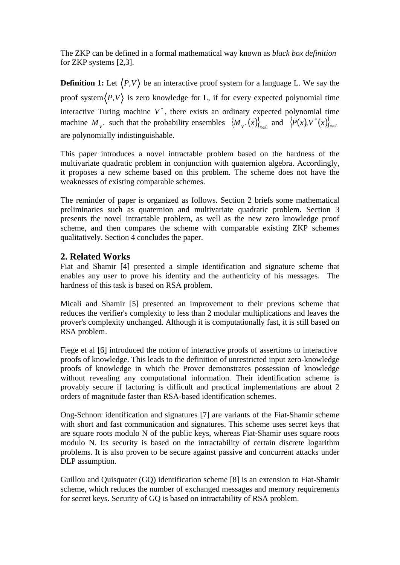The ZKP can be defined in a formal mathematical way known as *black box definition* for ZKP systems [2,3].

**Definition 1:** Let  $\langle P, V \rangle$  be an interactive proof system for a language L. We say the proof system $\langle P,V \rangle$  is zero knowledge for L, if for every expected polynomial time interactive Turing machine  $V^*$ , there exists an ordinary expected polynomial time machine  $M_{V^*}$  such that the probability ensembles  $\{M_{V^*}(x)\}_{x \in L}$  and  $\{P(x), V^*(x)\}_{x \in L}$  $M_{v^*}(x)$  and  ${P(x)}V^*(x)$ <sub>xel</sub>  $\{X\}_{x \in L}$  and  $\{P(x), V^*(x)\}_{x \in L}$  $,V^*(x)\}_{x\in L}$ are polynomially indistinguishable.

This paper introduces a novel intractable problem based on the hardness of the multivariate quadratic problem in conjunction with quaternion algebra. Accordingly, it proposes a new scheme based on this problem. The scheme does not have the weaknesses of existing comparable schemes.

The reminder of paper is organized as follows. Section 2 briefs some mathematical preliminaries such as quaternion and multivariate quadratic problem. Section 3 presents the novel intractable problem, as well as the new zero knowledge proof scheme, and then compares the scheme with comparable existing ZKP schemes qualitatively. Section 4 concludes the paper.

## **2. Related Works**

Fiat and Shamir [4] presented a simple identification and signature scheme that enables any user to prove his identity and the authenticity of his messages. The hardness of this task is based on RSA problem.

Micali and Shamir [5] presented an improvement to their previous scheme that reduces the verifier's complexity to less than 2 modular multiplications and leaves the prover's complexity unchanged. Although it is computationally fast, it is still based on RSA problem.

Fiege et al [6] introduced the notion of interactive proofs of assertions to interactive proofs of knowledge. This leads to the definition of unrestricted input zero-knowledge proofs of knowledge in which the Prover demonstrates possession of knowledge without revealing any computational information. Their identification scheme is provably secure if factoring is difficult and practical implementations are about 2 orders of magnitude faster than RSA-based identification schemes

Ong-Schnorr identification and signatures [7] are variants of the Fiat-Shamir scheme with short and fast communication and signatures. This scheme uses secret keys that are square roots modulo N of the public keys, whereas Fiat-Shamir uses square roots modulo N. Its security is based on the intractability of certain discrete logarithm problems. It is also proven to be secure against passive and concurrent attacks under DLP assumption.

Guillou and Quisquater (GQ) identification scheme [8] is an extension to Fiat-Shamir scheme, which reduces the number of exchanged messages and memory requirements for secret keys. Security of GQ is based on intractability of RSA problem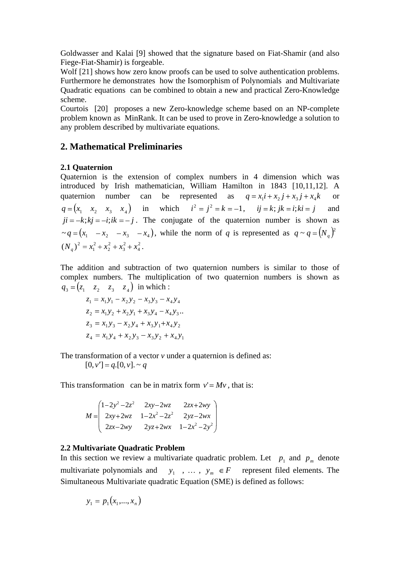Goldwasser and Kalai [9] showed that the signature based on Fiat-Shamir (and also Fiege-Fiat-Shamir) is forgeable.

Wolf [21] shows how zero know proofs can be used to solve authentication problems. Furthermore he demonstrates how the Isomorphism of Polynomials and Multivariate Quadratic equations can be combined to obtain a new and practical Zero-Knowledge scheme.

Courtois [20] proposes a new Zero-knowledge scheme based on an NP-complete problem known as MinRank. It can be used to prove in Zero-knowledge a solution to any problem described by multivariate equations.

## **2. Mathematical Preliminaries**

### **2.1 Quaternion**

Quaternion is the extension of complex numbers in 4 dimension which was introduced by Irish mathematician, William Hamilton in 1843 [10,11,12]. A quaternion number can be represented as  $q = x_i i + x_2 j + x_3 j + x_4 k$  or or  $q = (x_1 \ x_2 \ x_3 \ x_4)$  in which  $i^2 = j^2 = k = -1$ ,  $ij = k$ ;  $jk = i$ ;  $ki = j$  and  $ji = -k; kj = -i; ik = -j$ . The conjugate of the quaternion number is shown as  $\sim q = (x_1 - x_2 - x_3 - x_4)$ , while the norm of *q* is represented as  $q \sim q = (N_q)^2$ <br>(*N*)<sup>2</sup> –  $x^2 + x^2 + x^2 + x^2$  $\sim q = (N_q)^2$ 4  $2 + x^2$  $3^{1}$   $\mathcal{A}_{4}$ .  $2 + x^2 + x^2$  $2 + \lambda_3 + \lambda_4$ .  $2x^2 + x^2 + x^2$  $1 + \lambda_2 + \lambda_3 + \lambda_4$ .  $2 - x^2 + x^2 + x^2$  $(N_q)^2 = x_1^2 + x_2^2 + x_3^2 + x_4^2$ . . A construction of the construction of the construction of the construction of the construction of the constr<br>The construction of the construction of the construction of the construction of the construction of the constr

The addition and subtraction of two quaternion numbers is similar to those of complex numbers. The multiplication of two quaternion numbers is shown as  $3 - (4)$   $42$   $43$   $41$  m which.  $q_3 = (z_1 \quad z_2 \quad z_3 \quad z_4)$  in which :

$$
z_1 = x_1y_1 - x_2y_2 - x_3y_3 - x_4y_4
$$
  
\n
$$
z_2 = x_1y_2 + x_2y_1 + x_3y_4 - x_4y_3
$$
  
\n
$$
z_3 = x_1y_3 - x_2y_4 + x_3y_1 + x_4y_2
$$
  
\n
$$
z_4 = x_1y_4 + x_2y_3 - x_3y_2 + x_4y_1
$$

The transformation of a vector *v* under a quaternion is defined as:

 $[0, v'] = q$ .[0, *v*]. ~ *q* 

This transformation can be in matrix form  $v' = Mv$ , that is:

$$
M = \begin{pmatrix} 1 - 2y^2 - 2z^2 & 2xy - 2wz & 2zx + 2wy \\ 2xy + 2wz & 1 - 2x^2 - 2z^2 & 2yz - 2wx \\ 2zx - 2wy & 2yz + 2wx & 1 - 2x^2 - 2y^2 \end{pmatrix}
$$

### **2.2 Multivariate Quadratic Problem**

In this section we review a multivariate quadratic problem. Let  $p_1$  and  $p_m$  denote multivariate polynomials and  $y_1$ , ...,  $y_m \in F$  represent filed elements. The  $p_1$  and  $p_m$  denote  $y_1$ ,  $\ldots$ ,  $y_m \in F$  represent filed elements. The Simultaneous Multivariate quadratic Equation (SME) is defined as follows:

$$
y_1 = p_1(x_1,...,x_n)
$$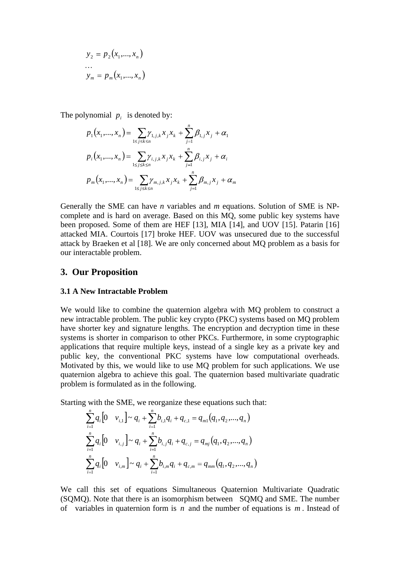$$
y_2 = p_2(x_1,...,x_n)
$$
  
...  

$$
y_m = p_m(x_1,...,x_n)
$$

The polynomial  $p_i$  is denoted by:

$$
p_{1}(x_{1},...,x_{n}) = \sum_{1 \leq j \leq k \leq n} \gamma_{1,j,k} x_{j} x_{k} + \sum_{j=1}^{n} \beta_{1,j} x_{j} + \alpha_{1}
$$
  
\n
$$
p_{i}(x_{1},...,x_{n}) = \sum_{1 \leq j \leq k \leq n} \gamma_{i,j,k} x_{j} x_{k} + \sum_{j=1}^{n} \beta_{i,j} x_{j} + \alpha_{i}
$$
  
\n
$$
p_{m}(x_{1},...,x_{n}) = \sum_{1 \leq j \leq k \leq n} \gamma_{m,j,k} x_{j} x_{k} + \sum_{j=1}^{n} \beta_{m,j} x_{j} + \alpha_{m}
$$

Generally the SME can have *n* variables and *m* equations. Solution of SME is NP complete and is hard on average. Based on this MQ, some public key systems have been proposed. Some of them are HEF [13], MIA [14], and UOV [15]. Patarin [16] attacked MIA. Courtois [17] broke HEF. UOV was unsecured due to the successful attack by Braeken et al [18]. We are only concerned about MQ problem as a basis for our interactable problem.

## **3. Our Proposition**

#### **3.1 A New Intractable Problem**

We would like to combine the quaternion algebra with MQ problem to construct a new intractable problem. The public key crypto (PKC) systems based on MQ problem have shorter key and signature lengths. The encryption and decryption time in these systems is shorter in comparison to other PKCs. Furthermore, in some cryptographic applications that require multiple keys, instead of a single key as a private key and public key, the conventional PKC systems have low computational overheads. Motivated by this, we would like to use MQ problem for such applications. We use quaternion algebra to achieve this goal. The quaternion based multivariate quadratic problem is formulated as in the following.

Starting with the SME, we reorganize these equations such that:

$$
\sum_{i=1}^{n} q_i \left[ 0 \quad v_{i,1} \right] \sim q_i + \sum_{i=1}^{n} b_{i,1} q_i + q_{c,1} = q_{m1} (q_1, q_2, ..., q_n)
$$
\n
$$
\sum_{i=1}^{n} q_i \left[ 0 \quad v_{i,j} \right] \sim q_i + \sum_{i=1}^{n} b_{i,j} q_i + q_{c,j} = q_{mj} (q_1, q_2, ..., q_n)
$$
\n
$$
\sum_{i=1}^{n} q_i \left[ 0 \quad v_{i,m} \right] \sim q_i + \sum_{i=1}^{n} b_{i,m} q_i + q_{c,m} = q_{mm} (q_1, q_2, ..., q_n)
$$

We call this set of equations Simultaneous Quaternion Multivariate Quadratic (SQMQ). Note that there is an isomorphism between SQMQ and SME. The number of variables in quaternion form is *n* and the number of equations is *m* . Instead of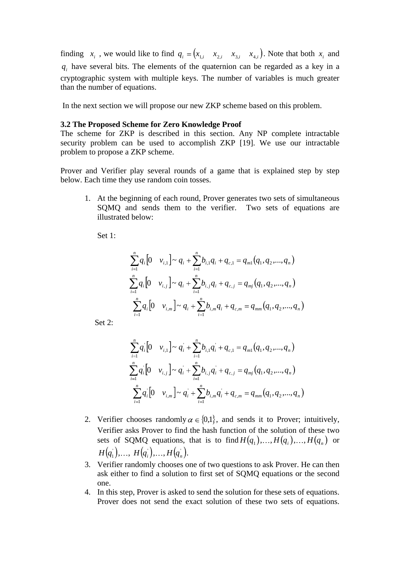finding  $x_i$ , we would like to find  $q_i = (x_{1,i} \ x_{2,i} \ x_{3,i} \ x_{4,i})$ . Note that both  $x_i$  and . Note that both  $x_i$  and  $q_i$  have several bits. The elements of the quaternion can be regarded as a key in a cryptographic system with multiple keys. The number of variables is much greater than the number of equations.

In the next section we will propose our new ZKP scheme based on this problem.

#### **3.2 The Proposed Scheme for Zero Knowledge Proof**

The scheme for ZKP is described in this section. Any NP complete intractable security problem can be used to accomplish ZKP [19]. We use our intractable problem to propose a ZKP scheme.

Prover and Verifier play several rounds of a game that is explained step by step below. Each time they use random coin tosses.

1. At the beginning of each round, Prover generates two sets of simultaneous SQMQ and sends them to the verifier. Two sets of equations are illustrated below:

Set 1:

$$
\sum_{i=1}^{n} q_i \left[ 0 \quad v_{i,1} \right] \sim q_i + \sum_{i=1}^{n} b_{i,1} q_i + q_{c,1} = q_{m1} (q_1, q_2, ..., q_n)
$$
\n
$$
\sum_{i=1}^{n} q_i \left[ 0 \quad v_{i,j} \right] \sim q_i + \sum_{i=1}^{n} b_{i,j} q_i + q_{c,j} = q_{mj} (q_1, q_2, ..., q_n)
$$
\n
$$
\sum_{i=1}^{n} q_i \left[ 0 \quad v_{i,m} \right] \sim q_i + \sum_{i=1}^{n} b_{i,m} q_i + q_{c,m} = q_{mm} (q_1, q_2, ..., q_n)
$$
\nSet 2:

$$
\sum_{i=1}^{n} q_i \left[ 0 \quad v_{i,1} \right] \sim q_i + \sum_{i=1}^{n} b_{i,1} q_i + q_{c,1} = q_{m1}(q_1, q_2, ..., q_n)
$$
\n
$$
\sum_{i=1}^{n} q_i \left[ 0 \quad v_{i,j} \right] \sim q_i + \sum_{i=1}^{n} b_{i,j} q_i + q_{c,j} = q_{mj}(q_1, q_2, ..., q_n)
$$
\n
$$
\sum_{i=1}^{n} q_i \left[ 0 \quad v_{i,m} \right] \sim q_i + \sum_{i=1}^{n} b_{i,m} q_i + q_{c,m} = q_{mm}(q_1, q_2, ..., q_n)
$$

- 2. Verifier chooses randomly  $\alpha \in \{0,1\}$ , and sends it to Prover; intuitively, Verifier asks Prover to find the hash function of the solution of these two sets of SQMQ equations, that is to find  $H(q_1),...,H(q_i),...,H(q_n)$  or  $H(q_1), \ldots, H(q_i), \ldots, H(q_n).$ '' $H(q_i),..., H(q_n).$  $, ..., H(q_n)$ .  $H(q_n)$ . . A construction of the construction of the construction of the construction of the construction of the construction of the construction of the construction of the construction of the construction of the construction of th
- 3. Verifier randomly chooses one of two questions to ask Prover. He can then ask either to find a solution to first set of SQMQ equations or the second one.
- 4. In this step, Prover is asked to send the solution for these sets of equations. Prover does not send the exact solution of these two sets of equations.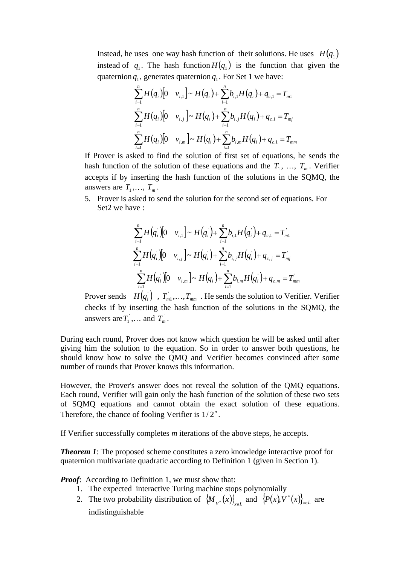Instead, he uses one way hash function of their solutions. He uses  $H(q_1)$  instead of  $q_1$ . The hash function  $H(q_1)$  is the function that given the quaternion  $q_1$ , generates quaternion  $q_1$ . For Set 1 we have:  $q_1$ . For Set 1 we have:

$$
\sum_{i=1}^{n} H(q_i) [0 \quad v_{i,1}] \sim H(q_i) + \sum_{i=1}^{n} b_{i,1} H(q_i) + q_{c,1} = T_{m1}
$$
\n
$$
\sum_{i=1}^{n} H(q_i) [0 \quad v_{i,j}] \sim H(q_i) + \sum_{i=1}^{n} b_{i,j} H(q_i) + q_{c,1} = T_{mj}
$$
\n
$$
\sum_{i=1}^{n} H(q_i) [0 \quad v_{i,m}] \sim H(q_i) + \sum_{i=1}^{n} b_{i,m} H(q_i) + q_{c,1} = T_{mm}
$$

If Prover is asked to find the solution of first set of equations, he sends the hash function of the solution of these equations and the  $T_1$ , ...,  $T_m$ . Verifier  $, \ldots, T_m$ . Verifier . Verifier accepts if by inserting the hash function of the solutions in the SQMQ, the answers are  $T_1, \ldots, T_m$ .  $, ..., T_m$ . . A construction of the construction of the construction of the construction of the construction of the construction

5. Prover is asked to send the solution for the second set of equations. For Set2 we have :

$$
\sum_{i=1}^{n} H(q_i) [0 \quad v_{i,1}] \sim H(q_i) + \sum_{i=1}^{n} b_{i,1} H(q_i) + q_{c,1} = T_{m1}
$$
\n
$$
\sum_{i=1}^{n} H(q_i) [0 \quad v_{i,j}] \sim H(q_i) + \sum_{i=1}^{n} b_{i,j} H(q_i) + q_{c,j} = T_{mj}
$$
\n
$$
\sum_{i=1}^{n} H(q_i) [0 \quad v_{i,m}] \sim H(q_i) + \sum_{i=1}^{n} b_{i,m} H(q_i) + q_{c,m} = T_{mm}
$$

Prover sends  $H(q_i)$ ,  $T_{m1}$ ,..., $T_{mm}$ . He sends the solution to Verifier. Verifier checks if by inserting the hash function of the solutions in the SQMQ, the answers are  $T_1$ , ... and  $T_m$ . ,... and  $T_m$ . answers are  $T_1$ ,... and  $T_m$ .  $T_m^{\dagger}$ . . A construction of the construction of the construction of the construction of the construction of the constr<br>The construction of the construction of the construction of the construction of the construction of the constr

During each round, Prover does not know which question he will be asked until after giving him the solution to the equation. So in order to answer both questions, he should know how to solve the QMQ and Verifier becomes convinced after some number of rounds that Prover knows this information.

However, the Prover's answer does not reveal the solution of the QMQ equations. Each round, Verifier will gain only the hash function of the solution of these two sets of SQMQ equations and cannot obtain the exact solution of these equations. Therefore, the chance of fooling Verifier is  $1/2^n$ . Therefore, the chance of fooling Verifier is 1/2".<br>If Verifier successfully completes *m* iterations of the above steps, he accepts.

*Theorem 1*: The proposed scheme constitutes a zero knowledge interactive proof for quaternion multivariate quadratic according to Definition 1 (given in Section 1).

*Proof:* According to Definition 1, we must show that:

- 1. The expected interactive Turing machine stops polynomially
- 2. The two probability distribution of  $\{M_{V^*}(x)\}_{x \in L}$  and  $\{P(x), V^*(x)\}_{x \in L}$  are indistinguishable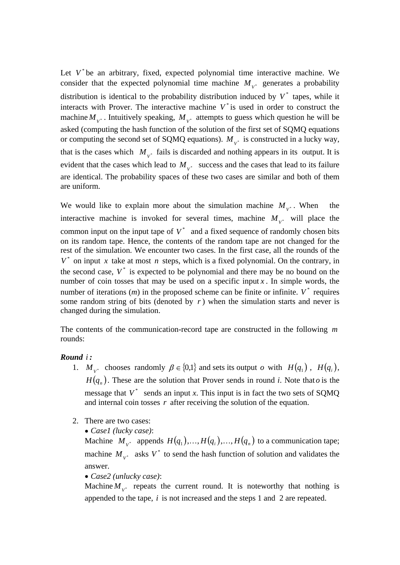Let  $V^*$  be an arbitrary, fixed, expected polynomial time interactive machine. We consider that the expected polynomial time machine  $M_{\nu^*}$  generates a probability  $V^*$  subtained a productively distribution is identical to the probability distribution induced by  $V^*$  tapes, while it interacts with Prover. The interactive machine  $V^*$  is used in order to construct the machine  $M_{v^*}$ . Intuitively speaking,  $M_{v^*}$  attempts to guess which question he will be  $V^*$  accompts to gave when question no will be asked (computing the hash function of the solution of the first set of SQMQ equations or computing the second set of SQMQ equations).  $M_{v^*}$  is constructed in a lucky way,  $V^*$  is constructed in a racity way, that is the cases which  $M_{V^*}$  fails is discarded and nothing appears in its output. It is evident that the cases which lead to  $M_{V^*}$  success and the cases that lead to its failure are identical. The probability spaces of these two cases are similar and both of them are uniform.

We would like to explain more about the simulation machine  $M_{v^*}$ . When the  $V^*$   $\cdots$   $\cdots$   $\cdots$ . When the interactive machine is invoked for several times, machine  $M_{v^*}$  will place the  $V^*$  will place the common input on the input tape of  $V^*$  and a fixed sequence of randomly chosen bits on its random tape. Hence, the contents of the random tape are not changed for the rest of the simulation. We encounter two cases. In the first case, all the rounds of the  $V^*$  on input x take at most *n* steps, which is a fixed polynomial. On the contrary, in the second case,  $V^*$  is expected to be polynomial and there may be no bound on the number of coin tosses that may be used on a specific input  $x$ . In simple words, the number of iterations  $(m)$  in the proposed scheme can be finite or infinite.  $V^*$  requires some random string of bits (denoted by  $r$ ) when the simulation starts and never is changed during the simulation.

The contents of the communication-record tape are constructed in the following *m* rounds:

#### *Round i :*

- 1.  $M_{V^*}$  chooses randomly  $\beta \in \{0,1\}$  and sets its output *o* with  $H(q_1)$ ,  $H(q_i)$ ,  $H(q_n)$ . These are the solution that Prover sends in round *i*. Note that *o* is the message that  $V^*$  sends an input *x*. This input is in fact the two sets of SQMQ and internal coin tosses *r* after receiving the solution of the equation.
- 2. There are two cases:
	- *Case1 (lucky case)*:

Machine  $M_{v^*}$  appends  $H(q_1),...,H(q_i),...,H(q_n)$  to a communication tape; machine  $M_{V^*}$  asks  $V^*$  to send the hash function of solution and validates the answer.

*Case2 (unlucky case)*:

Machine  $M_{V^*}$  repeats the current round. It is noteworthy that nothing is appended to the tape, *i* is not increased and the steps 1 and 2 are repeated.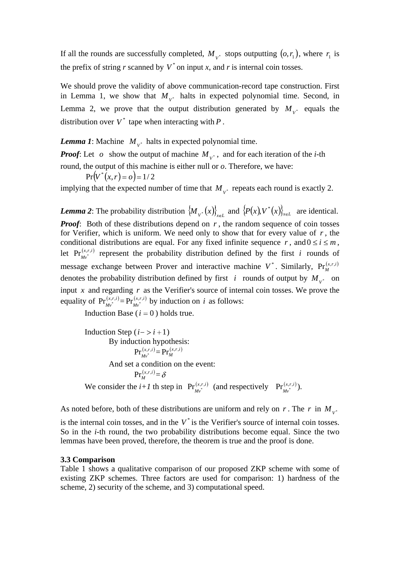If all the rounds are successfully completed,  $M_{v^*}$  stops outputting  $(o, r_1)$ , where  $r_1$  is  $V^*$  below below the  $(0, 1)$ , where  $I_1$  is  $(\rho, r_1)$ , where  $r_1$  is  $r_1$  is the prefix of string *r* scanned by  $V^*$  on input *x*, and *r* is internal coin tosses.

We should prove the validity of above communication-record tape construction. First in Lemma 1, we show that  $M_{V^*}$  halts in expected polynomial time. Second, in Lemma 2, we prove that the output distribution generated by  $M_{v^*}$  equals the  $V^*$  equal to  $V^*$ equals the distribution over  $V^*$  tape when interacting with  $P$ .

*Lemma* 1: Machine  $M_{v^*}$  halts in expected polynomial time.  $V^*$  *N*  $V^*$  *N*  $V^*$  *N*  $V^*$  *N*  $V^*$  *N*  $V^*$  *N*  $V^*$  *N*  $V^*$  *N*  $V^*$  *N*  $V^*$  *N*  $V^*$  *N*  $V^*$  *N*  $V^*$  *N*  $V^*$  *N*  $V^*$  *N*  $V^*$  *N*  $V^*$  *N*  $V^*$  *N*  $V^*$  *N*  $V^*$  *N*  $V^*$  *N*  $V^*$  *N*

*Proof*: Let *o* show the output of machine  $M_{v^*}$ , and for each iteration of the *i*-th  $V^*$ , and is obtained in the  $V$  and  $V^*$ round, the output of this machine is either null or *o*. Therefore, we have:

 $Pr(V^*(x, r) = o) = 1/2$  $V^*(x, r) = 0 = 1/2$ 

implying that the expected number of time that  $M_{v^*}$  repeats each round is exactly 2.  $V^*$  repeats each round is endedly  $\mathbb{Z}$ .

*Lemma* 2: The probability distribution  $\{M_{v^*}(x)\}_{x \in L}$  and  $\{P(x), V^*(x)\}_{x \in L}$  are identical. *Proof*: Both of these distributions depend on *r*, the random sequence of coin tosses for Verifier, which is uniform. We need only to show that for every value of  $r$ , the conditional distributions are equal. For any fixed infinite sequence r, and  $0 \le i \le m$ ,<br>let  $Pr_{M_v^{(x,r,i)}}^{(x,r,i)}$  represent the probability distribution defined by the first i rounds of message exchange between Prover and interactive machine  $V^*$ . Similarly,  $Pr_M^{(x,r,i)}$ *M*  $\Pr_M^{(x,r,i)}$ denotes the probability distribution defined by first *i* rounds of output by  $M_{v^*}$  on  $V^*$  on on input  $x$  and regarding  $r$  as the Verifier's source of internal coin tosses. We prove the equality of  $Pr_{Mv^*}^{(x,r,i)} = Pr_{Mv^*}^{(x,r,i)}$  by induction on *i* as follows:  $\Pr_{Mv^*}^{(x,r,i)}$  by induction on *i* as follows:

Induction Base ( $i = 0$ ) holds true.

Induction Step  $(i->i+1)$ By induction hypothesis:<br> $Pr_{M_v^*}^{(x,r,i)} = Pr_M^{(x,r,i)}$  $\mathbf{x}_i$ r,*i*)  $\mathbf{D}_{\mathbf{r}}(x,t,i)$  $Mv^*$   $\longrightarrow M$  ${\Pr}^{(x,r,i)}_{M,r} = {\Pr}^{(x,r,i)}_{M}$  $(x, r, i)$ *M*  $\Pr_M^{(x,r,i)}$ And set a condition on the event:  $\left(x, r, i\right)$   $\leq$   $\in$  $\overline{M}$   $\overline{C}$  $\Pr_M^{(x,r,i)} = \delta$ We consider the *i+1* th step in  $Pr_{Mv^*}^{(x,r,i)}$  (and respectively  $Pr_{Mv^*}^{(x,r,i)}$ ).  $Mv^*$   $\qquad$  $\Pr^{(x,r,i)}_{Mx^*}$ ). ).

As noted before, both of these distributions are uniform and rely on *r*. The *r* in  $M_{v^*}$ *V*

is the internal coin tosses, and in the  $V^*$  is the Verifier's source of internal coin tosses. So in the *i*-th round, the two probability distributions become equal. Since the two lemmas have been proved, therefore, the theorem is true and the proof is done.

#### **3.3 Comparison**

Table 1 shows a qualitative comparison of our proposed ZKP scheme with some of existing ZKP schemes. Three factors are used for comparison: 1) hardness of the scheme, 2) security of the scheme, and 3) computational speed.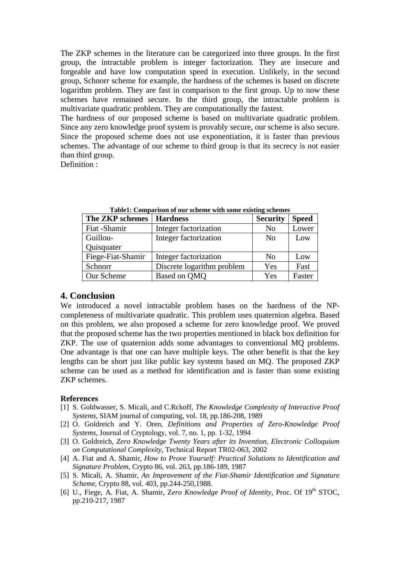The ZKP schemes in the literature can be categorized into three groups. In the first group, the intractable problem is integer factorization. They are insecure and forgeable and have low computation speed in execution. Unlikely, in the second group, Schnorr scheme for example, the hardness of the schemes is based on discrete logarithm problem. They are fast in comparison to the first group. Up to now these schemes have remained secure. In the third group, the intractable problem is multivariate quadratic problem. They are computationally the fastest.

The hardness of our proposed scheme is based on multivariate quadratic problem. Since any zero knowledge proof system is provably secure, our scheme is also secure. Since the proposed scheme does not use exponentiation, it is faster than previous schemes. The advantage of our scheme to third group is that its secrecy is not easier than third group.

Definition :

| The ZKP schemes   Hardness |                                           | <b>Security Speed</b> |                     |
|----------------------------|-------------------------------------------|-----------------------|---------------------|
| Fiat -Shamir               | Integer factorization                     | No                    | Lower               |
| Guillou-                   | Integer factorization                     | No                    | Low                 |
| Quisquater                 |                                           |                       |                     |
|                            | Fiege-Fiat-Shamir   Integer factorization | No                    | Low                 |
| Schnorr                    | Discrete logarithm problem                | Yes                   | Fast                |
| Our Scheme                 | Based on QMQ                              | Yes                   | <sub>1</sub> Faster |

**Table1: Comparison of our scheme with some existing schemes**

## **4. Conclusion**

We introduced <sup>a</sup> novel intractable problem bases on the hardness of the NP-completeness of multivariate quadratic. This problem uses quaternion algebra. Based on this problem, we also proposed a scheme for zero knowledge proof. We proved that the proposed scheme has the two properties mentioned in black box definition for ZKP. The use of quaternion adds some advantages to conventional MQ problems. One advantage is that one can have multiple keys. The other benefit is that the key lengths can be short just like public key systems based on MQ. The proposed ZKP scheme can be used as a method for identification and is faster than some existing ZKP schemes.

### **References**

- [1] S. Goldwasser, S. Micali, and C.Rckoff, *The Knowledge Complexity of Interactive Proof Systems*, SIAM journal of computing, vol. 18, pp.186-208, 1989
- [2] O. Goldreich and Y. Oren, *Definitions and Properties of Zero-Knowledge Proof Systems*, Journal of Cryptology, vol. 7, no. 1, pp. 1-32, 1994
- [3] O. Goldreich, *Zero Knowledge Twenty Years after its Invention, Electronic Colloquium on Computational Complexity*, Technical Report TR02-063, 2002
- [4] A. Fiat and A. Shamir, *How to Prove Yourself: Practical Solutions to Identification and Signature Problem*, Crypto 86, vol. 263, pp.186-189, 1987
- [5] S. Micali, A. Shamir, *An Improvement of the Fiat-Shamir Identification and Signature Scheme*, Crypto 88, vol. 403, pp.244-250,1988.
- [6] U., Fiege, A. Fiat, A. Shamir, Z*ero Knowledge Proof of Identity*, Proc. Of 19 th STOC, pp.210-217, 1987